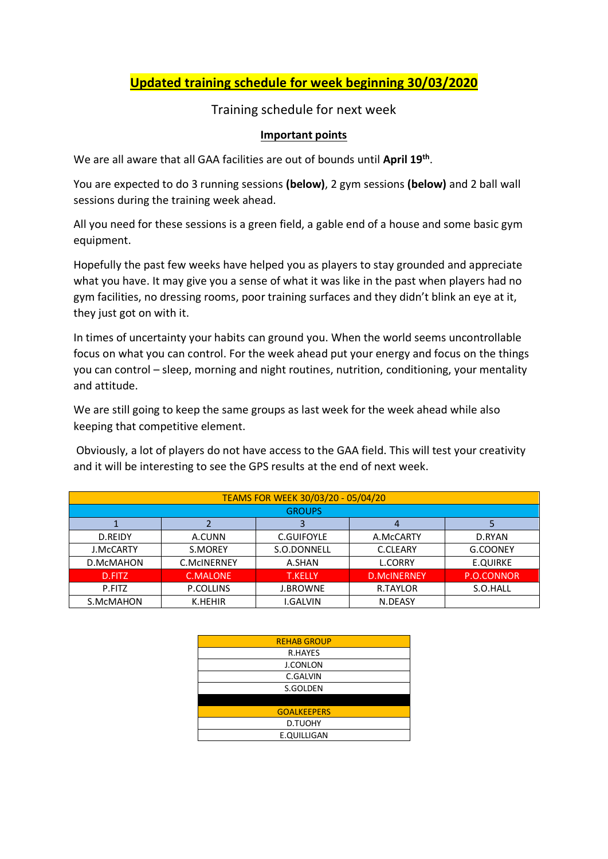## **Updated training schedule for week beginning 30/03/2020**

#### Training schedule for next week

#### **Important points**

We are all aware that all GAA facilities are out of bounds until **April 19th** .

You are expected to do 3 running sessions **(below)**, 2 gym sessions **(below)** and 2 ball wall sessions during the training week ahead.

All you need for these sessions is a green field, a gable end of a house and some basic gym equipment.

Hopefully the past few weeks have helped you as players to stay grounded and appreciate what you have. It may give you a sense of what it was like in the past when players had no gym facilities, no dressing rooms, poor training surfaces and they didn't blink an eye at it, they just got on with it.

In times of uncertainty your habits can ground you. When the world seems uncontrollable focus on what you can control. For the week ahead put your energy and focus on the things you can control – sleep, morning and night routines, nutrition, conditioning, your mentality and attitude.

We are still going to keep the same groups as last week for the week ahead while also keeping that competitive element.

Obviously, a lot of players do not have access to the GAA field. This will test your creativity and it will be interesting to see the GPS results at the end of next week.

| TEAMS FOR WEEK 30/03/20 - 05/04/20 |             |                   |                    |                 |
|------------------------------------|-------------|-------------------|--------------------|-----------------|
| <b>GROUPS</b>                      |             |                   |                    |                 |
|                                    |             |                   |                    |                 |
| D.REIDY                            | A.CUNN      | <b>C.GUIFOYLE</b> | A.McCARTY          | D.RYAN          |
| <b>J.McCARTY</b>                   | S.MOREY     | S.O.DONNELL       | C.CLEARY           | G.COONEY        |
| D.McMAHON                          | C.McINERNEY | A.SHAN            | <b>L.CORRY</b>     | <b>E.QUIRKE</b> |
| D.FITZ                             | C.MALONE    | <b>T.KELLY</b>    | <b>D.MCINERNEY</b> | P.O.CONNOR      |
| P.FITZ                             | P.COLLINS   | <b>J.BROWNE</b>   | R.TAYLOR           | S.O.HALL        |
| S.McMAHON                          | K.HEHIR     | I.GALVIN          | N.DEASY            |                 |

| <b>REHAB GROUP</b> |
|--------------------|
| <b>R.HAYES</b>     |
| <b>J.CONLON</b>    |
| C.GALVIN           |
| S.GOLDEN           |
|                    |
| <b>GOALKEEPERS</b> |
| <b>D.TUOHY</b>     |
| E.QUILLIGAN        |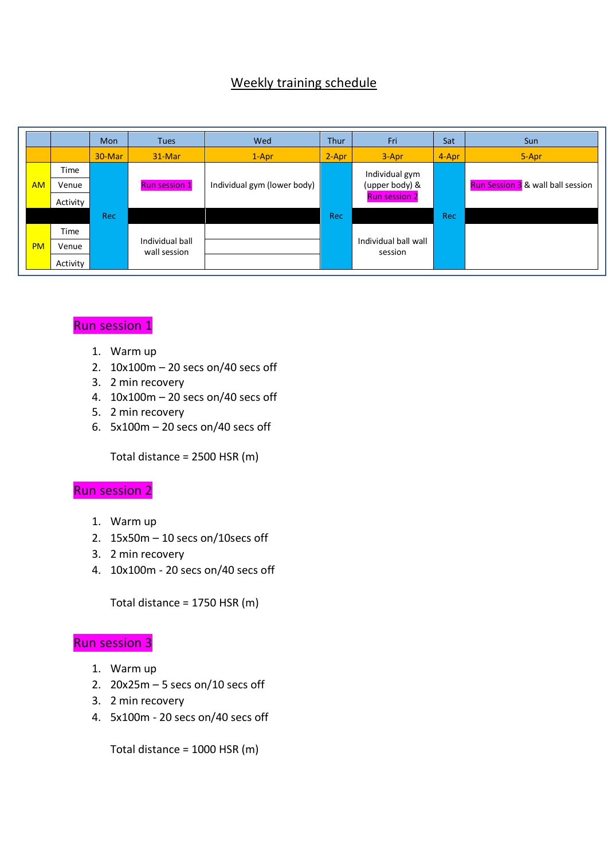## Weekly training schedule

|           |          | Mon        | <b>Tues</b>                     | Wed                         | <b>Thur</b> | Fri                             | Sat   | Sun                                      |
|-----------|----------|------------|---------------------------------|-----------------------------|-------------|---------------------------------|-------|------------------------------------------|
|           |          | 30-Mar     | 31-Mar                          | $1-Apr$                     | $2-Apr$     | $3 - Apr$                       | 4-Apr | 5-Apr                                    |
|           | Time     |            |                                 |                             |             | Individual gym                  |       |                                          |
| <b>AM</b> | Venue    |            | <b>Run session 1</b>            | Individual gym (lower body) |             | (upper body) &                  |       | <b>Run Session 3</b> & wall ball session |
|           | Activity |            |                                 |                             |             | <b>Run session 2</b>            |       |                                          |
|           |          | <b>Rec</b> |                                 |                             | Rec         |                                 | Rec   |                                          |
|           | Time     |            |                                 |                             |             |                                 |       |                                          |
| <b>PM</b> | Venue    |            | Individual ball<br>wall session |                             |             | Individual ball wall<br>session |       |                                          |
|           | Activity |            |                                 |                             |             |                                 |       |                                          |

# Run session 1

- 1. Warm up
- 2. 10x100m 20 secs on/40 secs off
- 3. 2 min recovery
- 4. 10x100m 20 secs on/40 secs off
- 5. 2 min recovery
- 6.  $5x100m 20$  secs on/40 secs off

Total distance = 2500 HSR (m)

# Run session 2

- 1. Warm up
- 2. 15x50m 10 secs on/10secs off
- 3. 2 min recovery
- 4. 10x100m 20 secs on/40 secs off

Total distance = 1750 HSR (m)

#### Run session 3

- 1. Warm up
- 2.  $20x25m 5$  secs on/10 secs off
- 3. 2 min recovery
- 4. 5x100m 20 secs on/40 secs off

Total distance = 1000 HSR (m)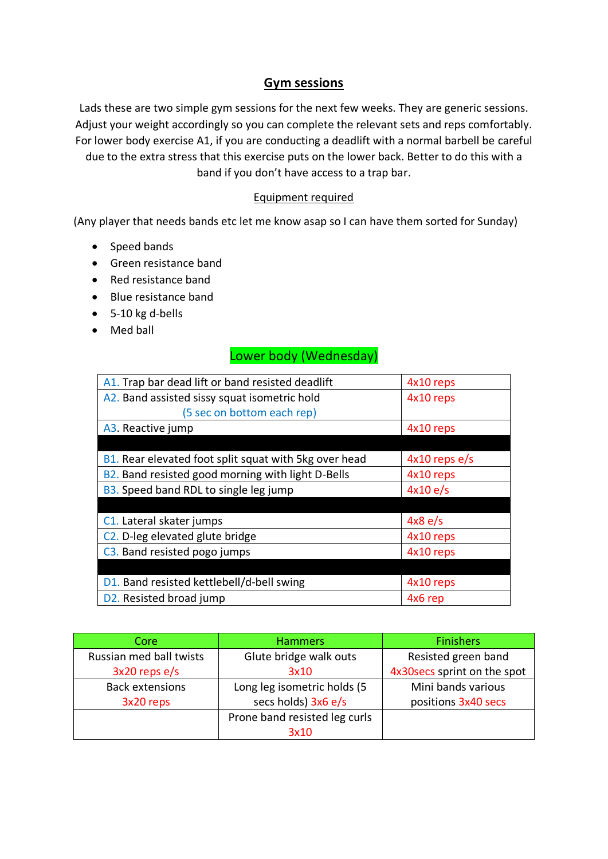#### **Gym sessions**

Lads these are two simple gym sessions for the next few weeks. They are generic sessions. Adjust your weight accordingly so you can complete the relevant sets and reps comfortably. For lower body exercise A1, if you are conducting a deadlift with a normal barbell be careful due to the extra stress that this exercise puts on the lower back. Better to do this with a band if you don't have access to a trap bar.

#### Equipment required

(Any player that needs bands etc let me know asap so I can have them sorted for Sunday)

- Speed bands
- Green resistance band
- Red resistance band
- Blue resistance band
- 5-10 kg d-bells
- Med ball

#### Lower body (Wednesday)

| A1. Trap bar dead lift or band resisted deadlift      | 4x10 reps       |
|-------------------------------------------------------|-----------------|
| A2. Band assisted sissy squat isometric hold          | 4x10 reps       |
| (5 sec on bottom each rep)                            |                 |
| A3. Reactive jump                                     | 4x10 reps       |
|                                                       |                 |
| B1. Rear elevated foot split squat with 5kg over head | $4x10$ reps e/s |
| B2. Band resisted good morning with light D-Bells     | 4x10 reps       |
| <b>B3.</b> Speed band RDL to single leg jump          | 4x10e/s         |
|                                                       |                 |
| C1. Lateral skater jumps                              | 4x8 e/s         |
| C <sub>2</sub> . D-leg elevated glute bridge          | 4x10 reps       |
| C3. Band resisted pogo jumps                          | 4x10 reps       |
|                                                       |                 |
| D1. Band resisted kettlebell/d-bell swing             | 4x10 reps       |
| D2. Resisted broad jump                               | 4x6 rep         |

| Core                    | <b>Hammers</b>                | <b>Finishers</b>             |  |
|-------------------------|-------------------------------|------------------------------|--|
| Russian med ball twists | Glute bridge walk outs        | Resisted green band          |  |
| $3x20$ reps e/s         | 3x10                          | 4x30 secs sprint on the spot |  |
| <b>Back extensions</b>  | Long leg isometric holds (5   | Mini bands various           |  |
| 3x20 reps               | secs holds) 3x6 e/s           | positions 3x40 secs          |  |
|                         | Prone band resisted leg curls |                              |  |
|                         | 3x10                          |                              |  |